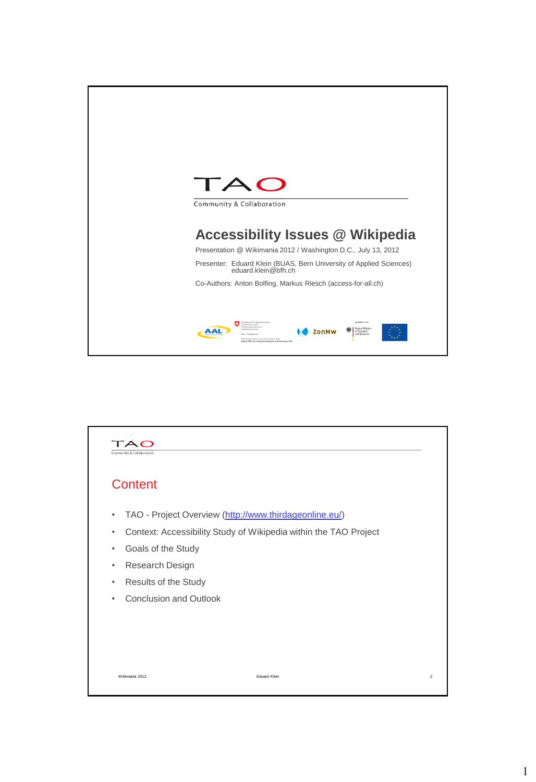

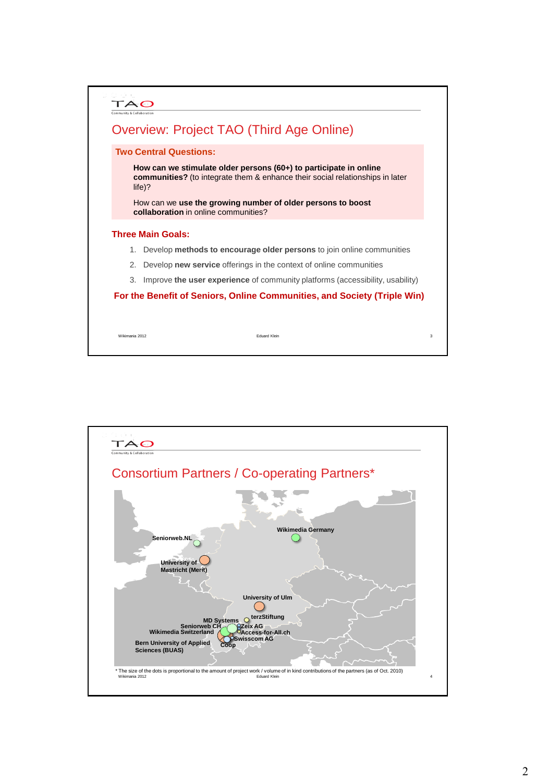|    | <b>Two Central Questions:</b>                                                                                                                                         |
|----|-----------------------------------------------------------------------------------------------------------------------------------------------------------------------|
|    | How can we stimulate older persons (60+) to participate in online<br><b>communities?</b> (to integrate them & enhance their social relationships in later<br>$life$ ? |
|    | How can we use the growing number of older persons to boost<br>collaboration in online communities?                                                                   |
|    | <b>Three Main Goals:</b>                                                                                                                                              |
| 1. | Develop methods to encourage older persons to join online communities                                                                                                 |
| 2. | Develop <b>new service</b> offerings in the context of online communities                                                                                             |
| 3. | Improve the user experience of community platforms (accessibility, usability)                                                                                         |
|    | For the Benefit of Seniors, Online Communities, and Society (Triple Win)                                                                                              |

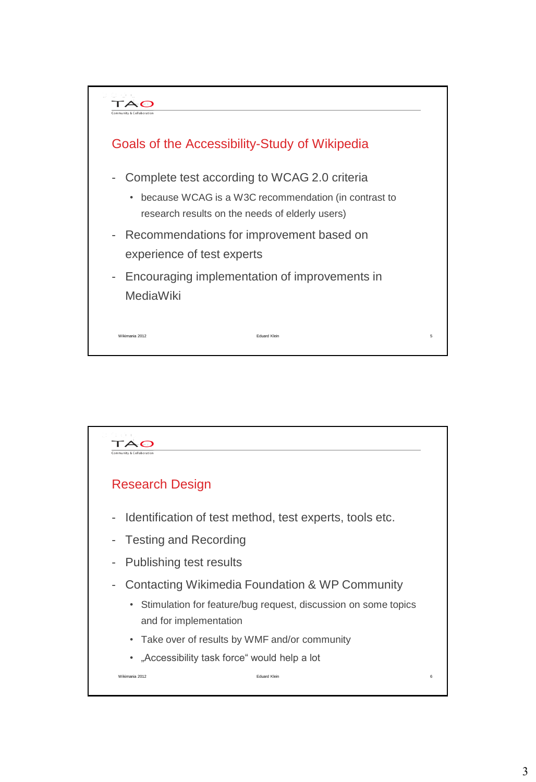

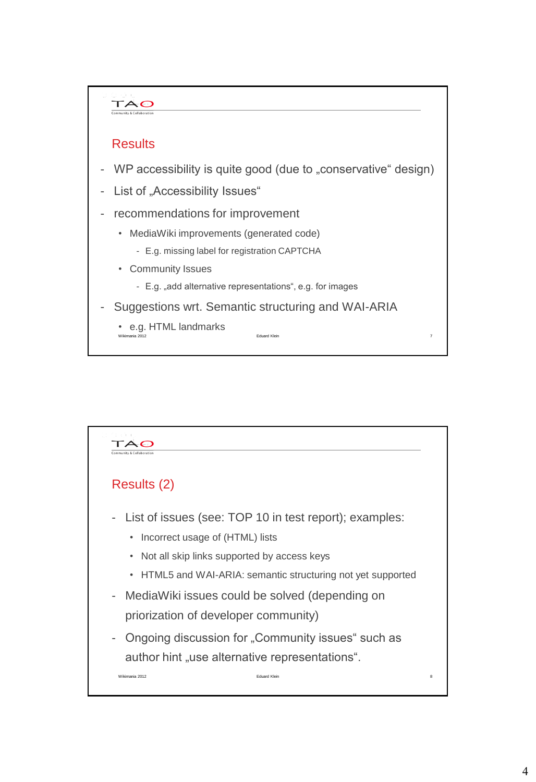

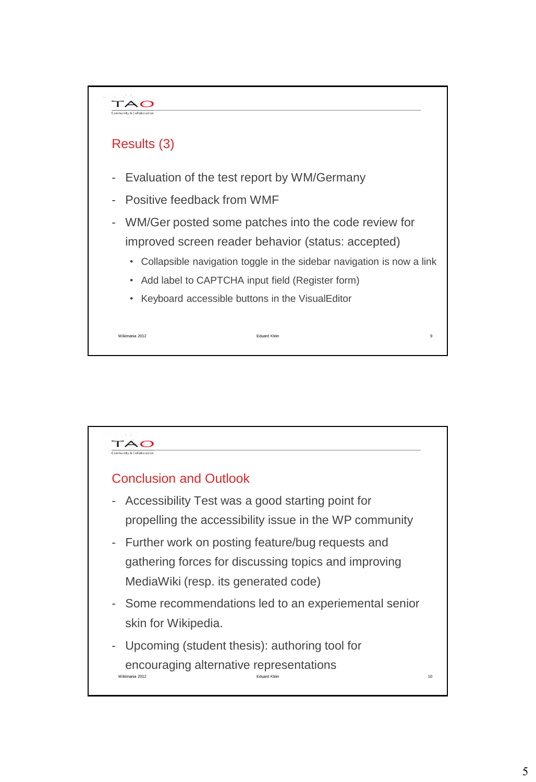